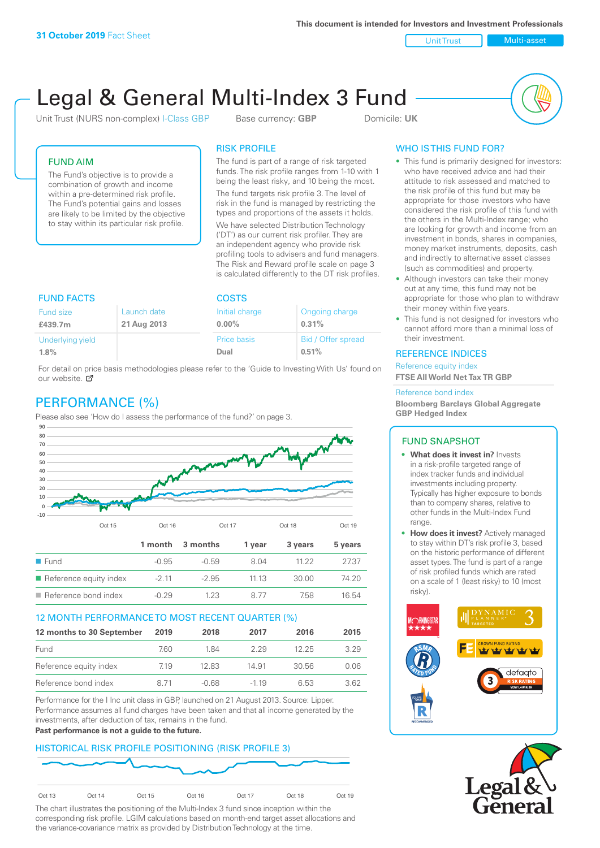**This document is intended for Investors and Investment Professionals**

Unit Trust Nulti-asset

# Legal & General Multi-Index 3 Fund

Unit Trust (NURS non-complex) I-Class GBP Base currency: **GBP** Domicile: UK



# FUND AIM

The Fund's objective is to provide a combination of growth and income within a pre-determined risk profile. The Fund's potential gains and losses are likely to be limited by the objective to stay within its particular risk profile.

# RISK PROFILE

The fund is part of a range of risk targeted funds. The risk profile ranges from 1-10 with 1 being the least risky, and 10 being the most.

The fund targets risk profile 3. The level of risk in the fund is managed by restricting the types and proportions of the assets it holds. We have selected Distribution Technology ('DT') as our current risk profiler. They are an independent agency who provide risk profiling tools to advisers and fund managers. The Risk and Reward profile scale on page 3 is calculated differently to the DT risk profiles.

| <b>FUND FACTS</b> |             | <b>COSTS</b>   |                    |  |
|-------------------|-------------|----------------|--------------------|--|
| Fund size         | Launch date | Initial charge | Ongoing charge     |  |
| £439.7m           | 21 Aug 2013 | $0.00\%$       | 0.31%              |  |
| Underlying yield  |             | Price basis    | Bid / Offer spread |  |
| 1.8%              |             | Dual           | 0.51%              |  |

For detail on price basis methodologies please refer to the 'Guide to Investing With Us' found on our website. Ø

# PERFORMANCE (%)

Please also see 'How do I assess the performance of the fund?' on page 3.



# 12 MONTH PERFORMANCE TO MOST RECENT QUARTER (%)

| 12 months to 30 September | 2019 | 2018    | 2017   | 2016  | 2015 |
|---------------------------|------|---------|--------|-------|------|
| Fund                      | 7.60 | 1 84    | 229    | 12.25 | 3.29 |
| Reference equity index    | 7.19 | 12.83   | 14.91  | 30.56 | 0.06 |
| Reference bond index      | 8 71 | $-0.68$ | $-119$ | 6.53  | 362  |

Performance for the I Inc unit class in GBP, launched on 21 August 2013. Source: Lipper. Performance assumes all fund charges have been taken and that all income generated by the investments, after deduction of tax, remains in the fund.

#### **Past performance is not a guide to the future.**

# HISTORICAL RISK PROFILE POSITIONING (RISK PROFILE 3)



The chart illustrates the positioning of the Multi-Index 3 fund since inception within the corresponding risk profile. LGIM calculations based on month-end target asset allocations and the variance-covariance matrix as provided by Distribution Technology at the time.

# WHO IS THIS FUND FOR?

- This fund is primarily designed for investors: who have received advice and had their attitude to risk assessed and matched to the risk profile of this fund but may be appropriate for those investors who have considered the risk profile of this fund with the others in the Multi-Index range; who are looking for growth and income from an investment in bonds, shares in companies, money market instruments, deposits, cash and indirectly to alternative asset classes (such as commodities) and property.
- Although investors can take their money out at any time, this fund may not be appropriate for those who plan to withdraw their money within five years.
- This fund is not designed for investors who cannot afford more than a minimal loss of their investment.

# REFERENCE INDICES

Reference equity index **FTSE All World Net Tax TR GBP**

#### Reference bond index

**Bloomberg Barclays Global Aggregate GBP Hedged Index**

#### FUND SNAPSHOT

- **• What does it invest in?** Invests in a risk-profile targeted range of index tracker funds and individual investments including property. Typically has higher exposure to bonds than to company shares, relative to other funds in the Multi-Index Fund range.
- **• How does it invest?** Actively managed to stay within DT's risk profile 3, based on the historic performance of different asset types. The fund is part of a range of risk profiled funds which are rated on a scale of 1 (least risky) to 10 (most risky).



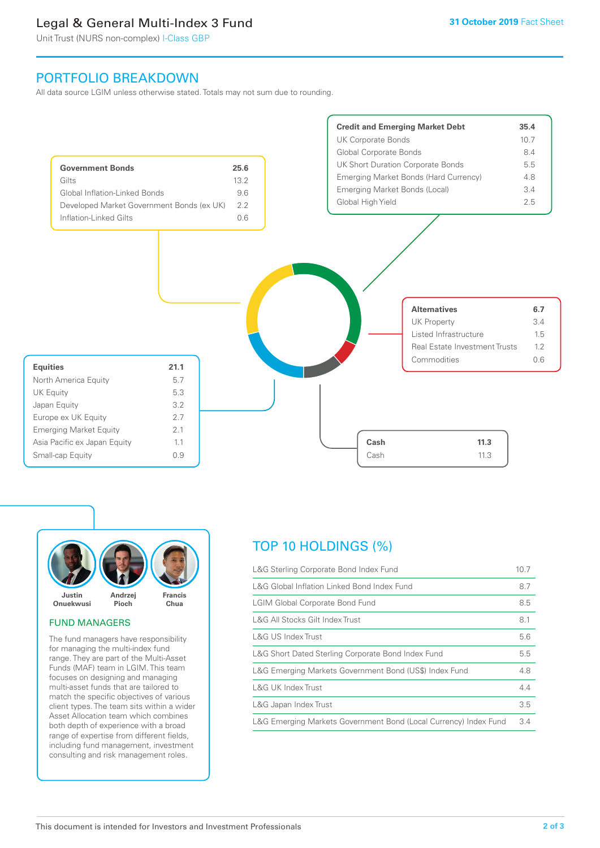# Legal & General Multi-Index 3 Fund

Unit Trust (NURS non-complex) I-Class GBP

# PORTFOLIO BREAKDOWN

All data source LGIM unless otherwise stated. Totals may not sum due to rounding.





#### FUND MANAGERS

The fund managers have responsibility for managing the multi-index fund range. They are part of the Multi-Asset Funds (MAF) team in LGIM. This team focuses on designing and managing multi-asset funds that are tailored to match the specific objectives of various client types. The team sits within a wider Asset Allocation team which combines both depth of experience with a broad range of expertise from different fields, including fund management, investment consulting and risk management roles.

# TOP 10 HOLDINGS (%)

| L&G Sterling Corporate Bond Index Fund                           | 10.7 |
|------------------------------------------------------------------|------|
| L&G Global Inflation Linked Bond Index Fund                      | 8.7  |
| <b>LGIM Global Corporate Bond Fund</b>                           | 8.5  |
| L&G All Stocks Gilt Index Trust                                  | 8.1  |
| L&G US Index Trust                                               | 5.6  |
| L&G Short Dated Sterling Corporate Bond Index Fund               | 5.5  |
| L&G Emerging Markets Government Bond (US\$) Index Fund           | 4.8  |
| <b>L&amp;G UK Index Trust</b>                                    | 4.4  |
| L&G Japan Index Trust                                            | 3.5  |
| L&G Emerging Markets Government Bond (Local Currency) Index Fund | 3.4  |